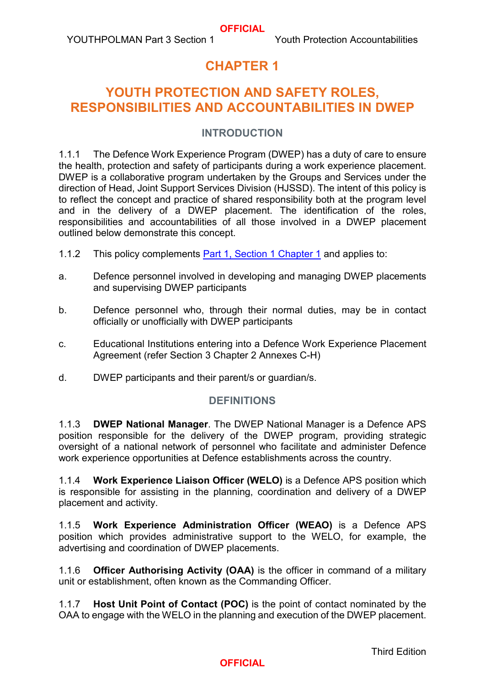# **CHAPTER 1**

# **YOUTH PROTECTION AND SAFETY ROLES, RESPONSIBILITIES AND ACCOUNTABILITIES IN DWEP**

#### **INTRODUCTION**

1.1.1 The Defence Work Experience Program (DWEP) has a duty of care to ensure the health, protection and safety of participants during a work experience placement. DWEP is a collaborative program undertaken by the Groups and Services under the direction of Head, Joint Support Services Division (HJSSD). The intent of this policy is to reflect the concept and practice of shared responsibility both at the program level and in the delivery of a DWEP placement. The identification of the roles, responsibilities and accountabilities of all those involved in a DWEP placement outlined below demonstrate this concept.

- 1.1.2 This policy complements [Part 1, Section 1 Chapter 1](https://www.defenceyouth.gov.au/media/1556/1-sect1ch1-youth-protection-roles-responsibilities-and-accountabilities-bn16147775.pdf) and applies to:
- a. Defence personnel involved in developing and managing DWEP placements and supervising DWEP participants
- b. Defence personnel who, through their normal duties, may be in contact officially or unofficially with DWEP participants
- c. Educational Institutions entering into a Defence Work Experience Placement Agreement (refer Section 3 Chapter 2 Annexes C-H)
- d. DWEP participants and their parent/s or guardian/s.

#### **DEFINITIONS**

1.1.3 **DWEP National Manager**. The DWEP National Manager is a Defence APS position responsible for the delivery of the DWEP program, providing strategic oversight of a national network of personnel who facilitate and administer Defence work experience opportunities at Defence establishments across the country.

1.1.4 **Work Experience Liaison Officer (WELO)** is a Defence APS position which is responsible for assisting in the planning, coordination and delivery of a DWEP placement and activity.

1.1.5 **Work Experience Administration Officer (WEAO)** is a Defence APS position which provides administrative support to the WELO, for example, the advertising and coordination of DWEP placements.

1.1.6 **Officer Authorising Activity (OAA)** is the officer in command of a military unit or establishment, often known as the Commanding Officer.

1.1.7 **Host Unit Point of Contact (POC)** is the point of contact nominated by the OAA to engage with the WELO in the planning and execution of the DWEP placement.

Third Edition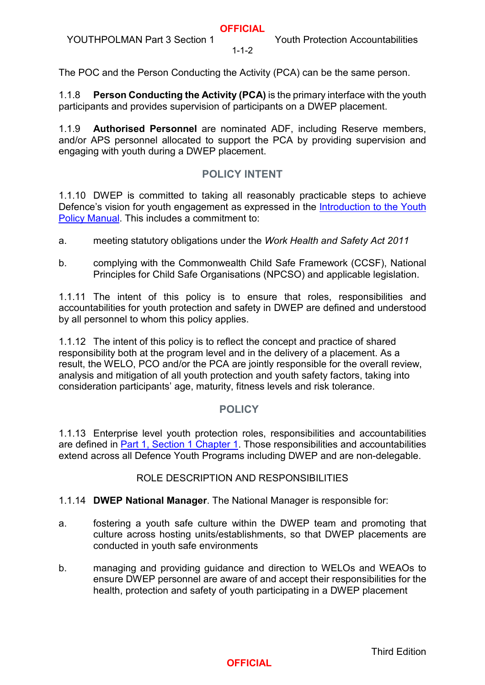$1 - 1 - 2$ 

The POC and the Person Conducting the Activity (PCA) can be the same person.

1.1.8 **Person Conducting the Activity (PCA)** is the primary interface with the youth participants and provides supervision of participants on a DWEP placement.

1.1.9 **Authorised Personnel** are nominated ADF, including Reserve members, and/or APS personnel allocated to support the PCA by providing supervision and engaging with youth during a DWEP placement.

# **POLICY INTENT**

1.1.10 DWEP is committed to taking all reasonably practicable steps to achieve Defence's vision for youth engagement as expressed in the Introduction to the Youth [Policy Manual.](https://www.defenceyouth.gov.au/media/1577/pages-from-jssd_out_2020_366-200706-publication-jssd-publication-youthpolman-introduction-and-part-1-unclas-4.pdf) This includes a commitment to:

a. meeting statutory obligations under the *Work Health and Safety Act 2011*

b. complying with the Commonwealth Child Safe Framework (CCSF), National Principles for Child Safe Organisations (NPCSO) and applicable legislation.

1.1.11 The intent of this policy is to ensure that roles, responsibilities and accountabilities for youth protection and safety in DWEP are defined and understood by all personnel to whom this policy applies.

1.1.12 The intent of this policy is to reflect the concept and practice of shared responsibility both at the program level and in the delivery of a placement. As a result, the WELO, PCO and/or the PCA are jointly responsible for the overall review, analysis and mitigation of all youth protection and youth safety factors, taking into consideration participants' age, maturity, fitness levels and risk tolerance.

# **POLICY**

1.1.13 Enterprise level youth protection roles, responsibilities and accountabilities are defined in [Part 1, Section 1 Chapter 1.](https://www.defenceyouth.gov.au/media/1556/1-sect1ch1-youth-protection-roles-responsibilities-and-accountabilities-bn16147775.pdf) Those responsibilities and accountabilities extend across all Defence Youth Programs including DWEP and are non-delegable.

# ROLE DESCRIPTION AND RESPONSIBILITIES

# 1.1.14 **DWEP National Manager**. The National Manager is responsible for:

- a. fostering a youth safe culture within the DWEP team and promoting that culture across hosting units/establishments, so that DWEP placements are conducted in youth safe environments
- b. managing and providing guidance and direction to WELOs and WEAOs to ensure DWEP personnel are aware of and accept their responsibilities for the health, protection and safety of youth participating in a DWEP placement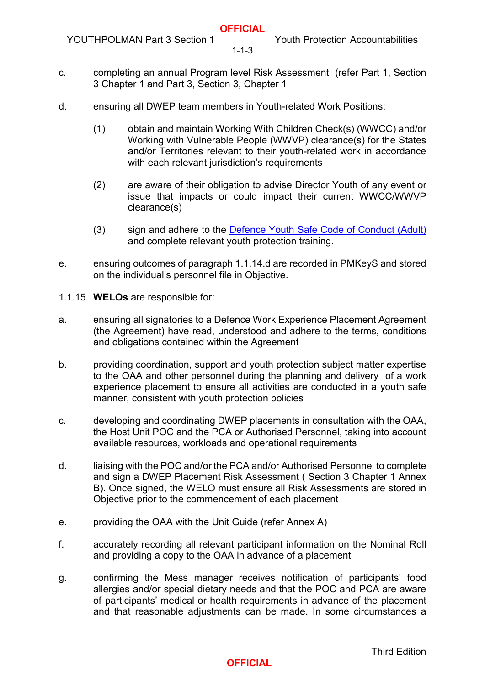YOUTHPOLMAN Part 3 Section 1 Youth Protection Accountabilities

 $1 - 1 - 3$ 

- c. completing an annual Program level Risk Assessment (refer Part 1, Section 3 Chapter 1 and Part 3, Section 3, Chapter 1
- d. ensuring all DWEP team members in Youth-related Work Positions:
	- (1) obtain and maintain Working With Children Check(s) (WWCC) and/or Working with Vulnerable People (WWVP) clearance(s) for the States and/or Territories relevant to their youth-related work in accordance with each relevant jurisdiction's requirements
	- (2) are aware of their obligation to advise Director Youth of any event or issue that impacts or could impact their current WWCC/WWVP clearance(s)
	- (3) sign and adhere to the [Defence Youth Safe Code of Conduct \(Adult\)](https://www.defenceyouth.gov.au/media/1597/section-2-chapter-2-annex-a-youth-safe-code-of-conduct-adult.pdf) and complete relevant youth protection training.
- e. ensuring outcomes of paragraph 1.1.14.d are recorded in PMKeyS and stored on the individual's personnel file in Objective.
- 1.1.15 **WELOs** are responsible for:
- a. ensuring all signatories to a Defence Work Experience Placement Agreement (the Agreement) have read, understood and adhere to the terms, conditions and obligations contained within the Agreement
- b. providing coordination, support and youth protection subject matter expertise to the OAA and other personnel during the planning and delivery of a work experience placement to ensure all activities are conducted in a youth safe manner, consistent with youth protection policies
- c. developing and coordinating DWEP placements in consultation with the OAA, the Host Unit POC and the PCA or Authorised Personnel, taking into account available resources, workloads and operational requirements
- d. liaising with the POC and/or the PCA and/or Authorised Personnel to complete and sign a DWEP Placement Risk Assessment ( Section 3 Chapter 1 Annex B). Once signed, the WELO must ensure all Risk Assessments are stored in Objective prior to the commencement of each placement
- e. providing the OAA with the Unit Guide (refer Annex A)
- f. accurately recording all relevant participant information on the Nominal Roll and providing a copy to the OAA in advance of a placement
- g. confirming the Mess manager receives notification of participants' food allergies and/or special dietary needs and that the POC and PCA are aware of participants' medical or health requirements in advance of the placement and that reasonable adjustments can be made. In some circumstances a

Third Edition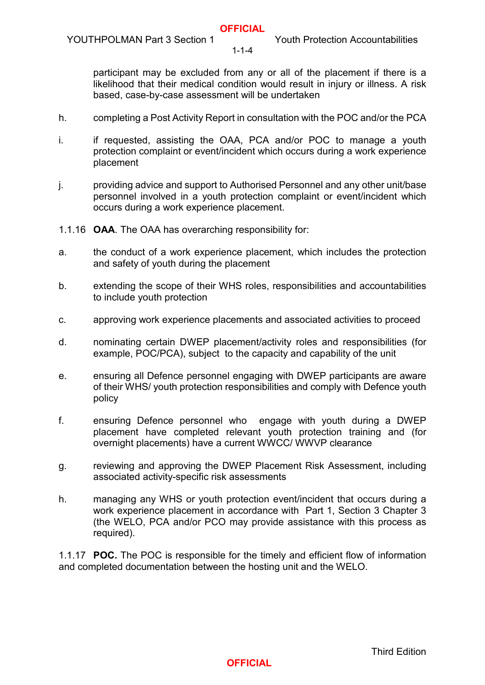YOUTHPOLMAN Part 3 Section 1 Youth Protection Accountabilities

 $1 - 1 - 4$ 

participant may be excluded from any or all of the placement if there is a likelihood that their medical condition would result in injury or illness. A risk based, case-by-case assessment will be undertaken

- h. completing a Post Activity Report in consultation with the POC and/or the PCA
- i. if requested, assisting the OAA, PCA and/or POC to manage a youth protection complaint or event/incident which occurs during a work experience placement
- j. providing advice and support to Authorised Personnel and any other unit/base personnel involved in a youth protection complaint or event/incident which occurs during a work experience placement.
- 1.1.16 **OAA**. The OAA has overarching responsibility for:
- a. the conduct of a work experience placement, which includes the protection and safety of youth during the placement
- b. extending the scope of their WHS roles, responsibilities and accountabilities to include youth protection
- c. approving work experience placements and associated activities to proceed
- d. nominating certain DWEP placement/activity roles and responsibilities (for example, POC/PCA), subject to the capacity and capability of the unit
- e. ensuring all Defence personnel engaging with DWEP participants are aware of their WHS/ youth protection responsibilities and comply with Defence youth policy
- f. ensuring Defence personnel who engage with youth during a DWEP placement have completed relevant youth protection training and (for overnight placements) have a current WWCC/ WWVP clearance
- g. reviewing and approving the DWEP Placement Risk Assessment, including associated activity-specific risk assessments
- h. managing any WHS or youth protection event/incident that occurs during a work experience placement in accordance with [Part 1, Section 3 Chapter 3](https://www.defenceyouth.gov.au/media/1621/7-sect3ch3-youth-protection-complaint-and-event-incident-management-bn16161968.pdf) (the WELO, PCA and/or PCO may provide assistance with this process as required).

1.1.17 **POC.** The POC is responsible for the timely and efficient flow of information and completed documentation between the hosting unit and the WELO.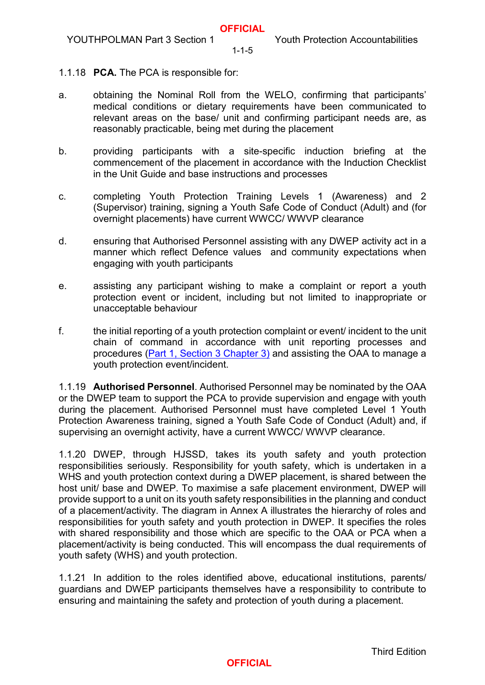$1 - 1 - 5$ 

- 1.1.18 **PCA.** The PCA is responsible for:
- a. obtaining the Nominal Roll from the WELO, confirming that participants' medical conditions or dietary requirements have been communicated to relevant areas on the base/ unit and confirming participant needs are, as reasonably practicable, being met during the placement
- b. providing participants with a site-specific induction briefing at the commencement of the placement in accordance with the Induction Checklist in the Unit Guide and base instructions and processes
- c. completing Youth Protection Training Levels 1 (Awareness) and 2 (Supervisor) training, signing a Youth Safe Code of Conduct (Adult) and (for overnight placements) have current WWCC/ WWVP clearance
- d. ensuring that Authorised Personnel assisting with any DWEP activity act in a manner which reflect Defence values and community expectations when engaging with youth participants
- e. assisting any participant wishing to make a complaint or report a youth protection event or incident, including but not limited to inappropriate or unacceptable behaviour
- f. the initial reporting of a youth protection complaint or event/ incident to the unit chain of command in accordance with unit reporting processes and procedures [\(Part 1, Section 3 Chapter 3\)](https://www.defenceyouth.gov.au/media/1621/7-sect3ch3-youth-protection-complaint-and-event-incident-management-bn16161968.pdf) and assisting the OAA to manage a youth protection event/incident.

1.1.19 **Authorised Personnel**. Authorised Personnel may be nominated by the OAA or the DWEP team to support the PCA to provide supervision and engage with youth during the placement. Authorised Personnel must have completed Level 1 Youth Protection Awareness training, signed a Youth Safe Code of Conduct (Adult) and, if supervising an overnight activity, have a current WWCC/ WWVP clearance.

1.1.20 DWEP, through HJSSD, takes its youth safety and youth protection responsibilities seriously. Responsibility for youth safety, which is undertaken in a WHS and youth protection context during a DWEP placement, is shared between the host unit/ base and DWEP. To maximise a safe placement environment, DWEP will provide support to a unit on its youth safety responsibilities in the planning and conduct of a placement/activity. The diagram in Annex A illustrates the hierarchy of roles and responsibilities for youth safety and youth protection in DWEP. It specifies the roles with shared responsibility and those which are specific to the OAA or PCA when a placement/activity is being conducted. This will encompass the dual requirements of youth safety (WHS) and youth protection.

1.1.21 In addition to the roles identified above, educational institutions, parents/ guardians and DWEP participants themselves have a responsibility to contribute to ensuring and maintaining the safety and protection of youth during a placement.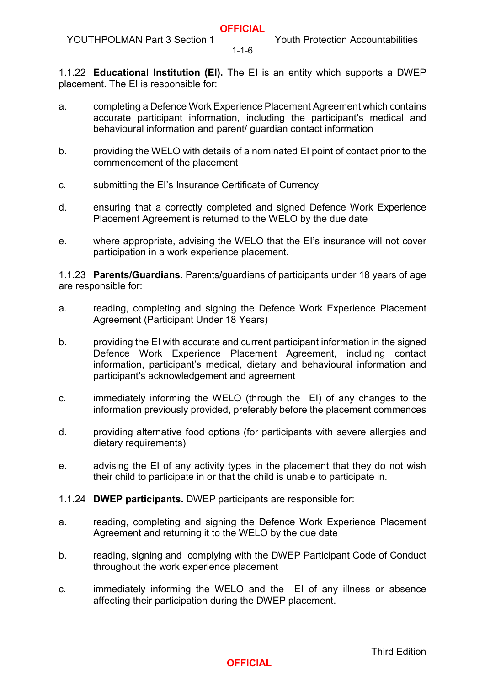1-1-6

1.1.22 **Educational Institution (EI).** The EI is an entity which supports a DWEP placement. The EI is responsible for:

- a. completing a Defence Work Experience Placement Agreement which contains accurate participant information, including the participant's medical and behavioural information and parent/ guardian contact information
- b. providing the WELO with details of a nominated EI point of contact prior to the commencement of the placement
- c. submitting the EI's Insurance Certificate of Currency
- d. ensuring that a correctly completed and signed Defence Work Experience Placement Agreement is returned to the WELO by the due date
- e. where appropriate, advising the WELO that the EI's insurance will not cover participation in a work experience placement.

1.1.23 **Parents/Guardians**. Parents/guardians of participants under 18 years of age are responsible for:

- a. reading, completing and signing the Defence Work Experience Placement Agreement (Participant Under 18 Years)
- b. providing the EI with accurate and current participant information in the signed Defence Work Experience Placement Agreement, including contact information, participant's medical, dietary and behavioural information and participant's acknowledgement and agreement
- c. immediately informing the WELO (through the EI) of any changes to the information previously provided, preferably before the placement commences
- d. providing alternative food options (for participants with severe allergies and dietary requirements)
- e. advising the EI of any activity types in the placement that they do not wish their child to participate in or that the child is unable to participate in.
- 1.1.24 **DWEP participants.** DWEP participants are responsible for:
- a. reading, completing and signing the Defence Work Experience Placement Agreement and returning it to the WELO by the due date
- b. reading, signing and complying with the DWEP Participant Code of Conduct throughout the work experience placement
- c. immediately informing the WELO and the EI of any illness or absence affecting their participation during the DWEP placement.